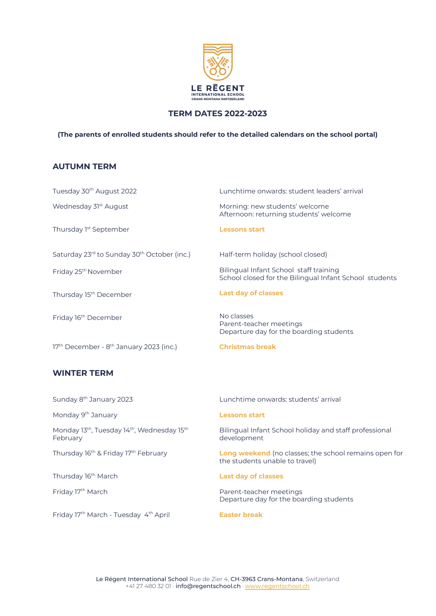

## **TERM DATES 2022-2023**

#### **(The parents of enrolled students should refer to the detailed calendars on the school portal)**

### **AUTUMN TERM**

Tuesday 30<sup>th</sup> August 2022 Wednesday 31<sup>st</sup> August Thursday 1<sup>st</sup> September Lunchtime onwards: student leaders' arrival Morning: new students' welcome Afternoon: returning students' welcome **Lessons start** Saturday 23<sup>rd</sup> to Sunday 30<sup>th</sup> October (inc.) Friday 25<sup>th</sup> November Thursday 15<sup>th</sup> December Friday 16<sup>th</sup> December Half-term holiday (school closed) Bilingual Infant School staff training School closed for the Bilingual Infant School students **Last day of classes** No classes Parent-teacher meetings Departure day for the boarding students 17 th December - 8 th January 2023 (inc.) **Christmas break WINTER TERM** Sunday 8<sup>th</sup> January 2023 Monday 9<sup>th</sup> January Lunchtime onwards: students' arrival **Lessons start** Monday 13<sup>th</sup>, Tuesday 14<sup>th</sup>, Wednesday 15<sup>th</sup> February Thursday 16<sup>th</sup> & Friday 17<sup>th</sup> February Bilingual Infant School holiday and staff professional development **Long weekend** (no classes; the school remains open for the students unable to travel)

Thursday 16<sup>th</sup> March

Friday 17<sup>th</sup> March

Friday 17<sup>th</sup> March - Tuesday 4<sup>t</sup>

**Last day of classes**

Parent-teacher meetings Departure day for the boarding students

#### **Easter** break